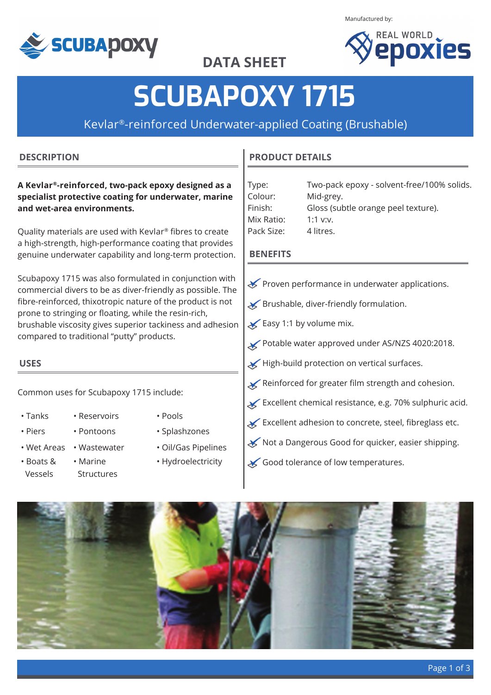

Manufactured by:



**DATA SHEET**

# **SCUBAPOXY 1715**

Kevlar®-reinforced Underwater-applied Coating (Brushable)

#### **DESCRIPTION**

#### **A Kevlar®-reinforced, two-pack epoxy designed as a specialist protective coating for underwater, marine and wet-area environments.**

Quality materials are used with Kevlar® fibres to create a high-strength, high-performance coating that provides genuine underwater capability and long-term protection.

Scubapoxy 1715 was also formulated in conjunction with commercial divers to be as diver-friendly as possible. The fibre-reinforced, thixotropic nature of the product is not prone to stringing or floating, while the resin-rich, brushable viscosity gives superior tackiness and adhesion compared to traditional "putty" products.

## **USES**

Common uses for Scubapoxy 1715 include:

- 
- Tanks Reservoirs Pools
- 

Vessels

- 
- 
- Boats &
	- Marine Structures
- 
- Piers Pontoons Splashzones
- Wet Areas Wastewater Oil/Gas Pipelines
	- Hydroelectricity

#### **PRODUCT DETAILS**

| Type:      | Two-pack epoxy - solvent-free/100% solids. |
|------------|--------------------------------------------|
| Colour:    | Mid-grey.                                  |
| Finish:    | Gloss (subtle orange peel texture).        |
| Mix Ratio: | 1:1 $V:V.$                                 |
| Pack Size: | 4 litres.                                  |

#### **BENEFITS**

- Proven performance in underwater applications.
- Brushable, diver-friendly formulation.
- Easy 1:1 by volume mix.
- Potable water approved under AS/NZS 4020:2018.
- High-build protection on vertical surfaces.
- Reinforced for greater film strength and cohesion.
- $\overline{\mathsf{K}}$  Excellent chemical resistance, e.g. 70% sulphuric acid.
- Excellent adhesion to concrete, steel, fibreglass etc.
- Not a Dangerous Good for quicker, easier shipping.
- Good tolerance of low temperatures.

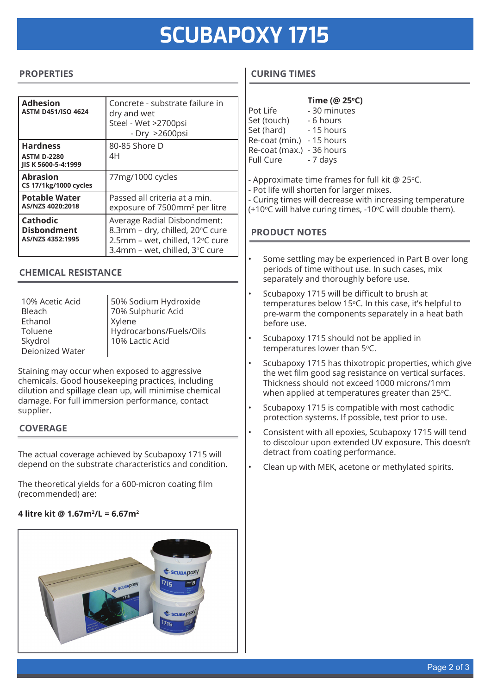# **SCUBAPOXY 1715**

#### **PROPERTIES**

| <b>Adhesion</b><br><b>ASTM D451/ISO 4624</b>                 | Concrete - substrate failure in<br>dry and wet<br>Steel - Wet >2700psi<br>- Dry >2600psi                                            |
|--------------------------------------------------------------|-------------------------------------------------------------------------------------------------------------------------------------|
| <b>Hardness</b><br><b>ASTM D-2280</b><br>JIS K 5600-5-4:1999 | 80-85 Shore D<br>4H                                                                                                                 |
| <b>Abrasion</b><br><b>CS 17/1kg/1000 cycles</b>              | 77mg/1000 cycles                                                                                                                    |
| <b>Potable Water</b><br>AS/NZS 4020:2018                     | Passed all criteria at a min.<br>exposure of 7500mm <sup>2</sup> per litre                                                          |
| <b>Cathodic</b><br><b>Disbondment</b><br>AS/NZS 4352:1995    | Average Radial Disbondment:<br>8.3mm - dry, chilled, 20°C cure<br>2.5mm - wet, chilled, 12°C cure<br>3.4mm - wet, chilled, 3°C cure |

#### **CHEMICAL RESISTANCE**

| 10% Acetic Acid |                                            |
|-----------------|--------------------------------------------|
| Bleach          | 50% Sodium Hydroxide<br>70% Sulphuric Acid |
| Ethanol         | <b>Xylene</b>                              |
| Toluene         | Hydrocarbons/Fuels/Oils                    |
| Skydrol         | 10% Lactic Acid                            |
| Deionized Water |                                            |

Staining may occur when exposed to aggressive chemicals. Good housekeeping practices, including dilution and spillage clean up, will minimise chemical damage. For full immersion performance, contact supplier.

#### **COVERAGE**

The actual coverage achieved by Scubapoxy 1715 will depend on the substrate characteristics and condition.

The theoretical yields for a 600-micron coating film (recommended) are:

#### **4 litre kit @ 1.67m2 /L = 6.67m2**



### **CURING TIMES**

|                  | Time (@ 25°C) |
|------------------|---------------|
| Pot Life         | - 30 minutes  |
| Set (touch)      | - 6 hours     |
| Set (hard)       | - 15 hours    |
| Re-coat (min.)   | - 15 hours    |
| Re-coat (max.)   | - 36 hours    |
| <b>Full Cure</b> | - 7 days      |
|                  |               |

- Approximate time frames for full kit  $@$  25 $°C$ .
- Pot life will shorten for larger mixes.
- Curing times will decrease with increasing temperature
- (+10°C will halve curing times, -10°C will double them).

#### **PRODUCT NOTES**

- Some settling may be experienced in Part B over long periods of time without use. In such cases, mix separately and thoroughly before use.
- Scubapoxy 1715 will be difficult to brush at temperatures below 15°C. In this case, it's helpful to pre-warm the components separately in a heat bath before use.
- Scubapoxy 1715 should not be applied in temperatures lower than 5°C.
- Scubapoxy 1715 has thixotropic properties, which give the wet film good sag resistance on vertical surfaces. Thickness should not exceed 1000 microns/1mm when applied at temperatures greater than  $25^{\circ}$ C.
- Scubapoxy 1715 is compatible with most cathodic protection systems. If possible, test prior to use.
- Consistent with all epoxies, Scubapoxy 1715 will tend to discolour upon extended UV exposure. This doesn't detract from coating performance.
- Clean up with MEK, acetone or methylated spirits.